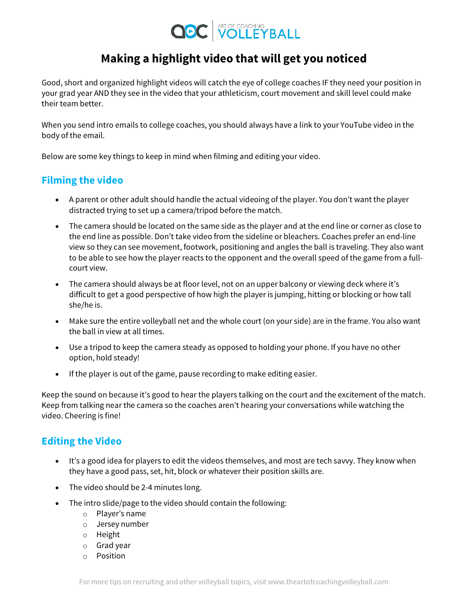

## **Making a highlight video that will get you noticed**

Good, short and organized highlight videos will catch the eye of college coaches IF they need your position in your grad year AND they see in the video that your athleticism, court movement and skill level could make their team better.

When you send intro emails to college coaches, you should always have a link to your YouTube video in the body of the email.

Below are some key things to keep in mind when filming and editing your video.

## **Filming the video**

- A parent or other adult should handle the actual videoing of the player. You don't want the player distracted trying to set up a camera/tripod before the match.
- The camera should be located on the same side as the player and at the end line or corner as close to the end line as possible. Don't take video from the sideline or bleachers. Coaches prefer an end-line view so they can see movement, footwork, positioning and angles the ball is traveling. They also want to be able to see how the player reacts to the opponent and the overall speed of the game from a fullcourt view.
- The camera should always be at floor level, not on an upper balcony or viewing deck where it's difficult to get a good perspective of how high the player is jumping, hitting or blocking or how tall she/he is.
- Make sure the entire volleyball net and the whole court (on your side) are in the frame. You also want the ball in view at all times.
- Use a tripod to keep the camera steady as opposed to holding your phone. If you have no other option, hold steady!
- If the player is out of the game, pause recording to make editing easier.

Keep the sound on because it's good to hear the players talking on the court and the excitement of the match. Keep from talking near the camera so the coaches aren't hearing your conversations while watching the video. Cheering is fine!

## **Editing the Video**

- It's a good idea for players to edit the videos themselves, and most are tech savvy. They know when they have a good pass, set, hit, block or whatever their position skills are.
- The video should be 2-4 minutes long.
- The intro slide/page to the video should contain the following:
	- o Player's name
	- o Jersey number
	- o Height
	- o Grad year
	- o Position